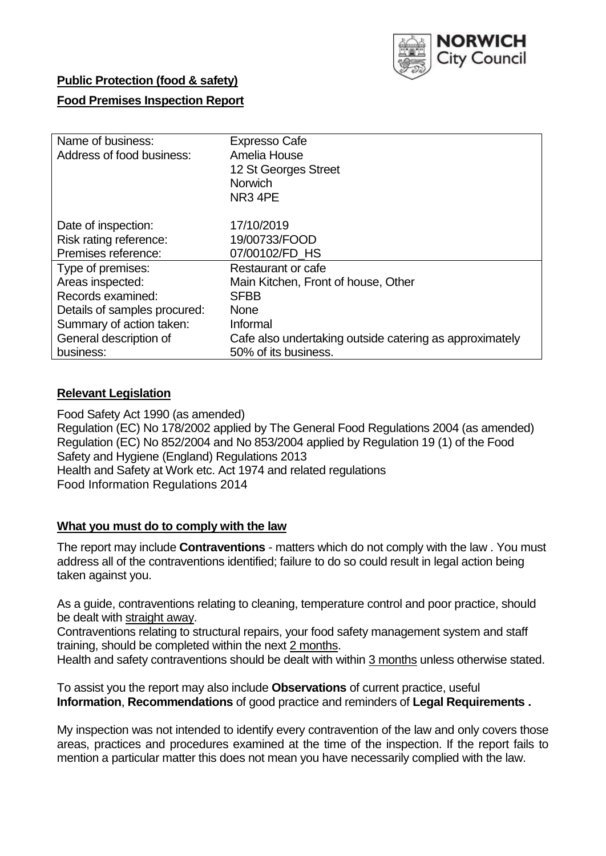

## **Public Protection (food & safety)**

## **Food Premises Inspection Report**

| Name of business:<br>Address of food business: | <b>Expresso Cafe</b><br>Amelia House<br>12 St Georges Street<br><b>Norwich</b><br>NR <sub>3</sub> 4PE |
|------------------------------------------------|-------------------------------------------------------------------------------------------------------|
| Date of inspection:<br>Risk rating reference:  | 17/10/2019<br>19/00733/FOOD                                                                           |
| Premises reference:                            | 07/00102/FD HS                                                                                        |
| Type of premises:                              | Restaurant or cafe                                                                                    |
| Areas inspected:                               | Main Kitchen, Front of house, Other                                                                   |
| Records examined:                              | <b>SFBB</b>                                                                                           |
| Details of samples procured:                   | <b>None</b>                                                                                           |
| Summary of action taken:                       | Informal                                                                                              |
| General description of                         | Cafe also undertaking outside catering as approximately                                               |
| business:                                      | 50% of its business.                                                                                  |

## **Relevant Legislation**

Food Safety Act 1990 (as amended) Regulation (EC) No 178/2002 applied by The General Food Regulations 2004 (as amended) Regulation (EC) No 852/2004 and No 853/2004 applied by Regulation 19 (1) of the Food Safety and Hygiene (England) Regulations 2013 Health and Safety at Work etc. Act 1974 and related regulations Food Information Regulations 2014

## **What you must do to comply with the law**

The report may include **Contraventions** - matters which do not comply with the law . You must address all of the contraventions identified; failure to do so could result in legal action being taken against you.

As a guide, contraventions relating to cleaning, temperature control and poor practice, should be dealt with straight away.

Contraventions relating to structural repairs, your food safety management system and staff training, should be completed within the next 2 months.

Health and safety contraventions should be dealt with within 3 months unless otherwise stated.

To assist you the report may also include **Observations** of current practice, useful **Information**, **Recommendations** of good practice and reminders of **Legal Requirements .**

My inspection was not intended to identify every contravention of the law and only covers those areas, practices and procedures examined at the time of the inspection. If the report fails to mention a particular matter this does not mean you have necessarily complied with the law.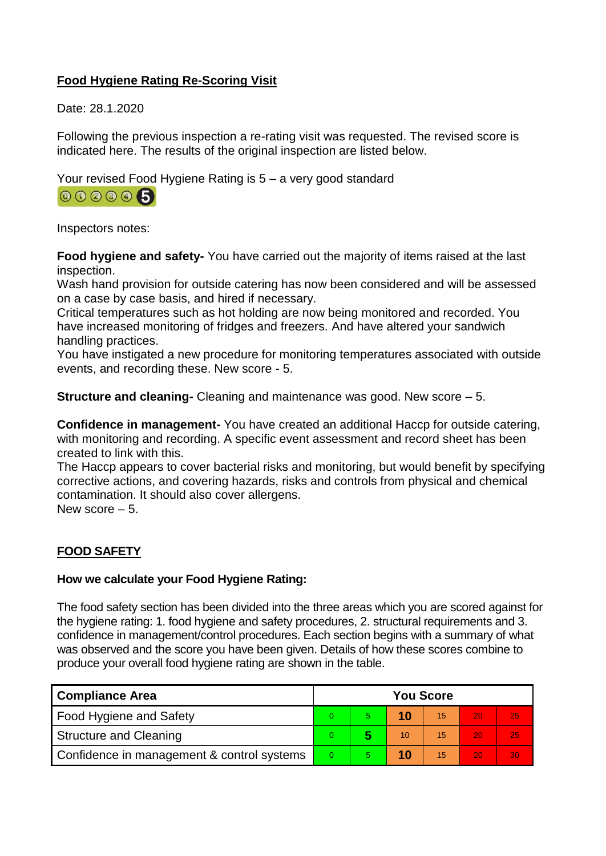# **Food Hygiene Rating Re-Scoring Visit**

Date: 28.1.2020

Following the previous inspection a re-rating visit was requested. The revised score is indicated here. The results of the original inspection are listed below.

Your revised Food Hygiene Rating is 5 – a very good standard



Inspectors notes:

**Food hygiene and safety-** You have carried out the majority of items raised at the last inspection.

Wash hand provision for outside catering has now been considered and will be assessed on a case by case basis, and hired if necessary.

Critical temperatures such as hot holding are now being monitored and recorded. You have increased monitoring of fridges and freezers. And have altered your sandwich handling practices.

You have instigated a new procedure for monitoring temperatures associated with outside events, and recording these. New score - 5.

**Structure and cleaning-** Cleaning and maintenance was good. New score – 5.

**Confidence in management-** You have created an additional Haccp for outside catering, with monitoring and recording. A specific event assessment and record sheet has been created to link with this.

The Haccp appears to cover bacterial risks and monitoring, but would benefit by specifying corrective actions, and covering hazards, risks and controls from physical and chemical contamination. It should also cover allergens.

New score – 5.

# **FOOD SAFETY**

## **How we calculate your Food Hygiene Rating:**

The food safety section has been divided into the three areas which you are scored against for the hygiene rating: 1. food hygiene and safety procedures, 2. structural requirements and 3. confidence in management/control procedures. Each section begins with a summary of what was observed and the score you have been given. Details of how these scores combine to produce your overall food hygiene rating are shown in the table.

| <b>Compliance Area</b>                     |  | <b>You Score</b> |    |    |    |    |  |  |
|--------------------------------------------|--|------------------|----|----|----|----|--|--|
| Food Hygiene and Safety                    |  |                  |    | 15 | 20 | 25 |  |  |
| <b>Structure and Cleaning</b>              |  |                  | 10 | 15 | 20 | 25 |  |  |
| Confidence in management & control systems |  |                  | 10 | 15 | 20 | 30 |  |  |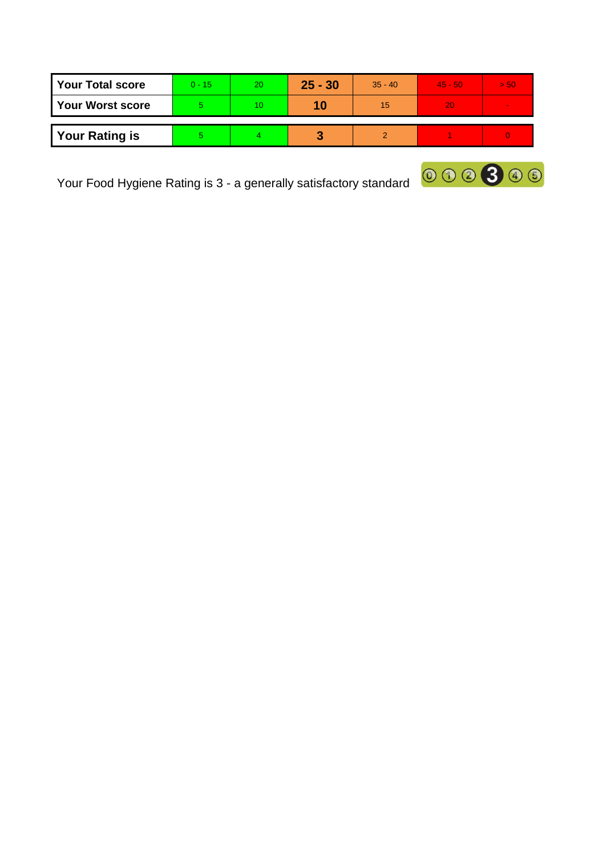| <b>Your Total score</b> | $0 - 15$ | 20 | $25 - 30$ | $35 - 40$ | $45 - 50$ | > 50 |
|-------------------------|----------|----|-----------|-----------|-----------|------|
| <b>Your Worst score</b> |          |    | 10        | 15        | <b>20</b> |      |
| <b>Your Rating is</b>   |          |    |           |           |           |      |

Your Food Hygiene Rating is 3 - a generally satisfactory standard  $\boxed{00000}$ 

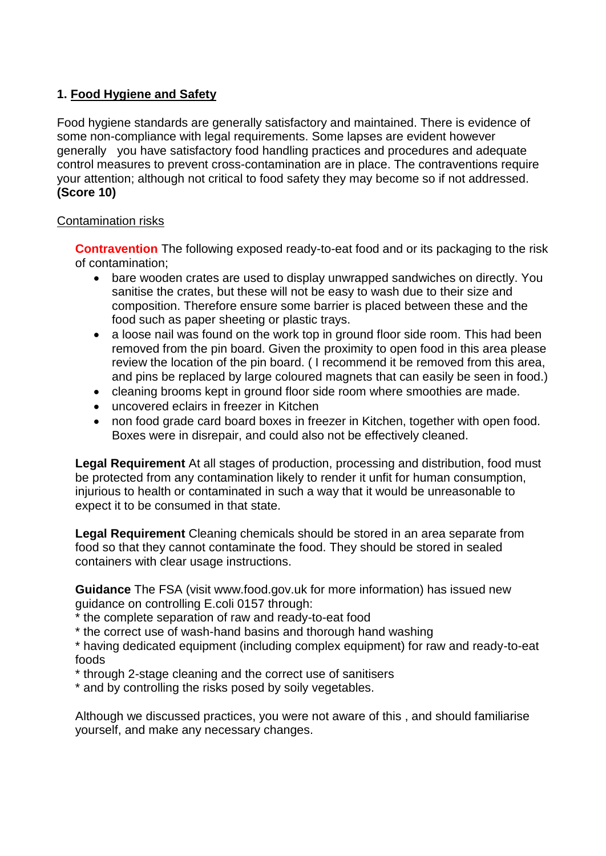## **1. Food Hygiene and Safety**

Food hygiene standards are generally satisfactory and maintained. There is evidence of some non-compliance with legal requirements. Some lapses are evident however generally you have satisfactory food handling practices and procedures and adequate control measures to prevent cross-contamination are in place. The contraventions require your attention; although not critical to food safety they may become so if not addressed. **(Score 10)**

## Contamination risks

**Contravention** The following exposed ready-to-eat food and or its packaging to the risk of contamination;

- bare wooden crates are used to display unwrapped sandwiches on directly. You sanitise the crates, but these will not be easy to wash due to their size and composition. Therefore ensure some barrier is placed between these and the food such as paper sheeting or plastic trays.
- a loose nail was found on the work top in ground floor side room. This had been removed from the pin board. Given the proximity to open food in this area please review the location of the pin board. ( I recommend it be removed from this area, and pins be replaced by large coloured magnets that can easily be seen in food.)
- cleaning brooms kept in ground floor side room where smoothies are made.
- uncovered eclairs in freezer in Kitchen
- non food grade card board boxes in freezer in Kitchen, together with open food. Boxes were in disrepair, and could also not be effectively cleaned.

**Legal Requirement** At all stages of production, processing and distribution, food must be protected from any contamination likely to render it unfit for human consumption, injurious to health or contaminated in such a way that it would be unreasonable to expect it to be consumed in that state.

**Legal Requirement** Cleaning chemicals should be stored in an area separate from food so that they cannot contaminate the food. They should be stored in sealed containers with clear usage instructions.

**Guidance** The FSA (visit www.food.gov.uk for more information) has issued new guidance on controlling E.coli 0157 through:

\* the complete separation of raw and ready-to-eat food

\* the correct use of wash-hand basins and thorough hand washing

\* having dedicated equipment (including complex equipment) for raw and ready-to-eat foods

\* through 2-stage cleaning and the correct use of sanitisers

\* and by controlling the risks posed by soily vegetables.

Although we discussed practices, you were not aware of this , and should familiarise yourself, and make any necessary changes.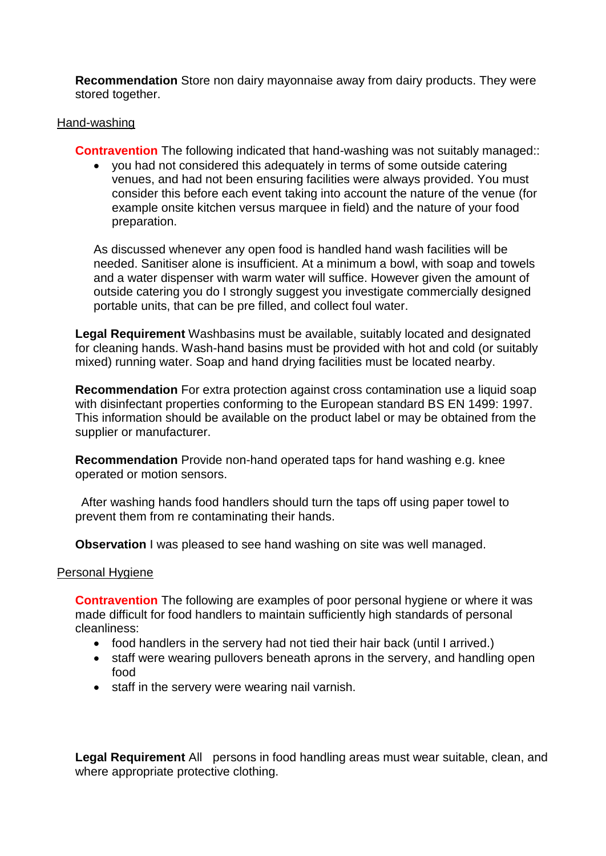**Recommendation** Store non dairy mayonnaise away from dairy products. They were stored together.

### Hand-washing

**Contravention** The following indicated that hand-washing was not suitably managed:

 you had not considered this adequately in terms of some outside catering venues, and had not been ensuring facilities were always provided. You must consider this before each event taking into account the nature of the venue (for example onsite kitchen versus marquee in field) and the nature of your food preparation.

As discussed whenever any open food is handled hand wash facilities will be needed. Sanitiser alone is insufficient. At a minimum a bowl, with soap and towels and a water dispenser with warm water will suffice. However given the amount of outside catering you do I strongly suggest you investigate commercially designed portable units, that can be pre filled, and collect foul water.

**Legal Requirement** Washbasins must be available, suitably located and designated for cleaning hands. Wash-hand basins must be provided with hot and cold (or suitably mixed) running water. Soap and hand drying facilities must be located nearby.

**Recommendation** For extra protection against cross contamination use a liquid soap with disinfectant properties conforming to the European standard BS EN 1499: 1997. This information should be available on the product label or may be obtained from the supplier or manufacturer.

**Recommendation** Provide non-hand operated taps for hand washing e.g. knee operated or motion sensors.

After washing hands food handlers should turn the taps off using paper towel to prevent them from re contaminating their hands.

**Observation** I was pleased to see hand washing on site was well managed.

#### Personal Hygiene

**Contravention** The following are examples of poor personal hygiene or where it was made difficult for food handlers to maintain sufficiently high standards of personal cleanliness:

- food handlers in the servery had not tied their hair back (until I arrived.)
- staff were wearing pullovers beneath aprons in the servery, and handling open food
- staff in the servery were wearing nail varnish.

**Legal Requirement** All persons in food handling areas must wear suitable, clean, and where appropriate protective clothing.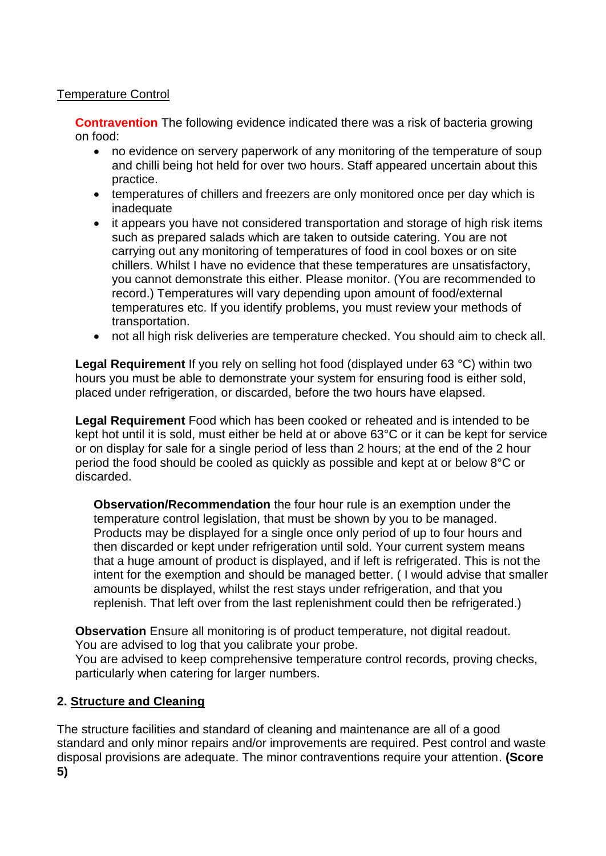## Temperature Control

**Contravention** The following evidence indicated there was a risk of bacteria growing on food:

- no evidence on servery paperwork of any monitoring of the temperature of soup and chilli being hot held for over two hours. Staff appeared uncertain about this practice.
- temperatures of chillers and freezers are only monitored once per day which is inadequate
- it appears you have not considered transportation and storage of high risk items such as prepared salads which are taken to outside catering. You are not carrying out any monitoring of temperatures of food in cool boxes or on site chillers. Whilst I have no evidence that these temperatures are unsatisfactory, you cannot demonstrate this either. Please monitor. (You are recommended to record.) Temperatures will vary depending upon amount of food/external temperatures etc. If you identify problems, you must review your methods of transportation.
- not all high risk deliveries are temperature checked. You should aim to check all.

**Legal Requirement** If you rely on selling hot food (displayed under 63 °C) within two hours you must be able to demonstrate your system for ensuring food is either sold, placed under refrigeration, or discarded, before the two hours have elapsed.

**Legal Requirement** Food which has been cooked or reheated and is intended to be kept hot until it is sold, must either be held at or above 63°C or it can be kept for service or on display for sale for a single period of less than 2 hours; at the end of the 2 hour period the food should be cooled as quickly as possible and kept at or below 8°C or discarded.

**Observation/Recommendation** the four hour rule is an exemption under the temperature control legislation, that must be shown by you to be managed. Products may be displayed for a single once only period of up to four hours and then discarded or kept under refrigeration until sold. Your current system means that a huge amount of product is displayed, and if left is refrigerated. This is not the intent for the exemption and should be managed better. ( I would advise that smaller amounts be displayed, whilst the rest stays under refrigeration, and that you replenish. That left over from the last replenishment could then be refrigerated.)

**Observation** Ensure all monitoring is of product temperature, not digital readout. You are advised to log that you calibrate your probe.

You are advised to keep comprehensive temperature control records, proving checks, particularly when catering for larger numbers.

## **2. Structure and Cleaning**

The structure facilities and standard of cleaning and maintenance are all of a good standard and only minor repairs and/or improvements are required. Pest control and waste disposal provisions are adequate. The minor contraventions require your attention. **(Score 5)**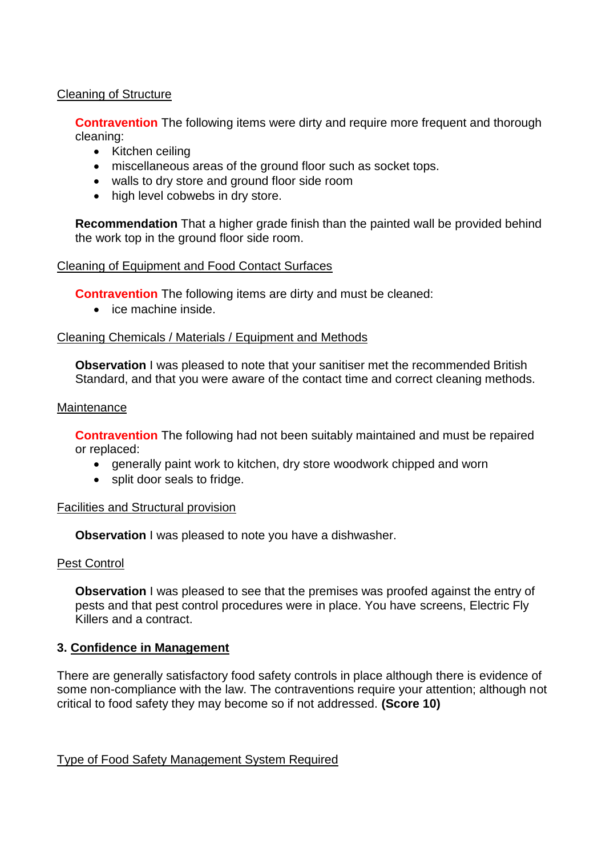## Cleaning of Structure

**Contravention** The following items were dirty and require more frequent and thorough cleaning:

- Kitchen ceiling
- miscellaneous areas of the ground floor such as socket tops.
- walls to dry store and ground floor side room
- high level cobwebs in dry store.

**Recommendation** That a higher grade finish than the painted wall be provided behind the work top in the ground floor side room.

## Cleaning of Equipment and Food Contact Surfaces

**Contravention** The following items are dirty and must be cleaned:

• ice machine inside.

#### Cleaning Chemicals / Materials / Equipment and Methods

**Observation** I was pleased to note that your sanitiser met the recommended British Standard, and that you were aware of the contact time and correct cleaning methods.

#### **Maintenance**

**Contravention** The following had not been suitably maintained and must be repaired or replaced:

- generally paint work to kitchen, dry store woodwork chipped and worn
- split door seals to fridge.

#### Facilities and Structural provision

**Observation** I was pleased to note you have a dishwasher.

#### Pest Control

**Observation** I was pleased to see that the premises was proofed against the entry of pests and that pest control procedures were in place. You have screens, Electric Fly Killers and a contract.

## **3. Confidence in Management**

There are generally satisfactory food safety controls in place although there is evidence of some non-compliance with the law. The contraventions require your attention; although not critical to food safety they may become so if not addressed. **(Score 10)**

Type of Food Safety Management System Required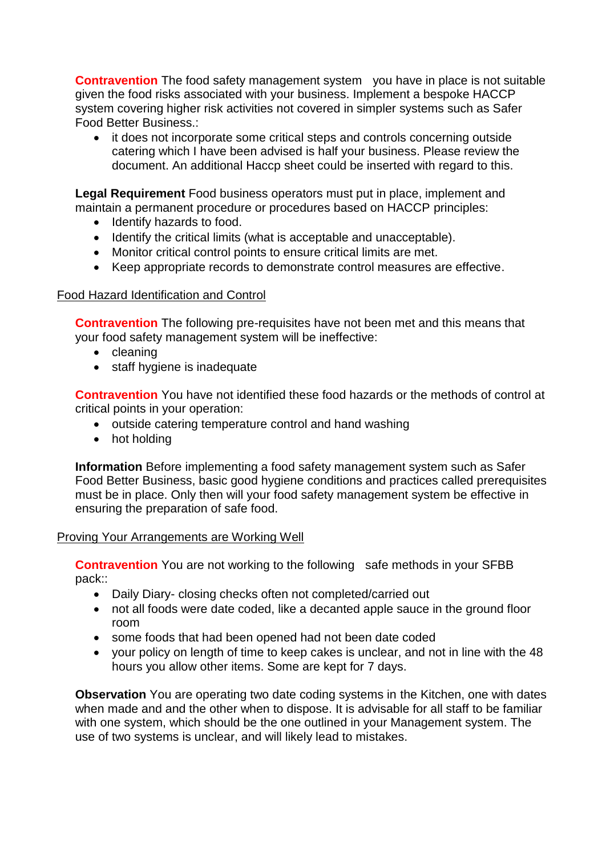**Contravention** The food safety management system you have in place is not suitable given the food risks associated with your business. Implement a bespoke HACCP system covering higher risk activities not covered in simpler systems such as Safer Food Better Business.:

 it does not incorporate some critical steps and controls concerning outside catering which I have been advised is half your business. Please review the document. An additional Haccp sheet could be inserted with regard to this.

**Legal Requirement** Food business operators must put in place, implement and maintain a permanent procedure or procedures based on HACCP principles:

- Identify hazards to food.
- Identify the critical limits (what is acceptable and unacceptable).
- Monitor critical control points to ensure critical limits are met.
- Keep appropriate records to demonstrate control measures are effective.

## Food Hazard Identification and Control

**Contravention** The following pre-requisites have not been met and this means that your food safety management system will be ineffective:

- cleaning
- staff hygiene is inadequate

**Contravention** You have not identified these food hazards or the methods of control at critical points in your operation:

- outside catering temperature control and hand washing
- hot holding

**Information** Before implementing a food safety management system such as Safer Food Better Business, basic good hygiene conditions and practices called prerequisites must be in place. Only then will your food safety management system be effective in ensuring the preparation of safe food.

#### Proving Your Arrangements are Working Well

**Contravention** You are not working to the following safe methods in your SFBB pack::

- Daily Diary- closing checks often not completed/carried out
- not all foods were date coded, like a decanted apple sauce in the ground floor room
- some foods that had been opened had not been date coded
- your policy on length of time to keep cakes is unclear, and not in line with the 48 hours you allow other items. Some are kept for 7 days.

**Observation** You are operating two date coding systems in the Kitchen, one with dates when made and and the other when to dispose. It is advisable for all staff to be familiar with one system, which should be the one outlined in your Management system. The use of two systems is unclear, and will likely lead to mistakes.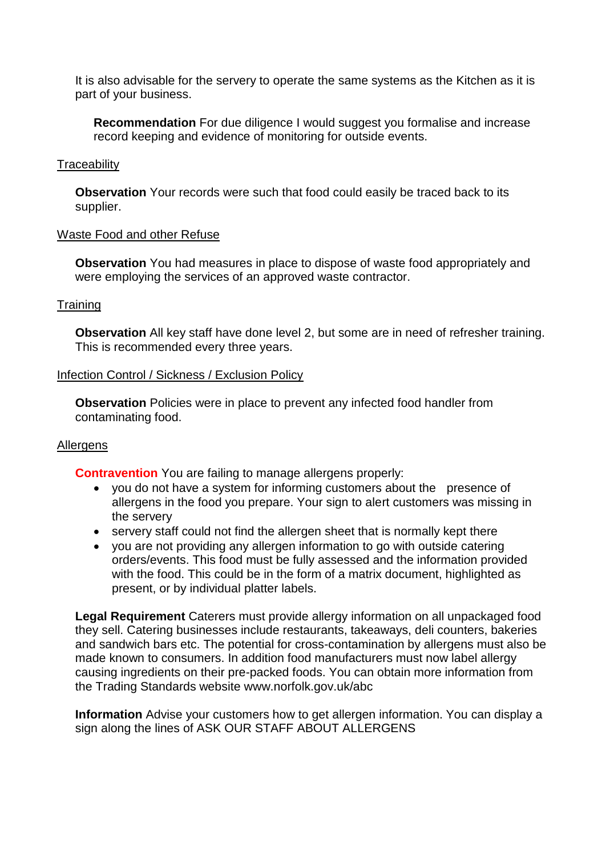It is also advisable for the servery to operate the same systems as the Kitchen as it is part of your business.

**Recommendation** For due diligence I would suggest you formalise and increase record keeping and evidence of monitoring for outside events.

## **Traceability**

**Observation** Your records were such that food could easily be traced back to its supplier.

#### Waste Food and other Refuse

**Observation** You had measures in place to dispose of waste food appropriately and were employing the services of an approved waste contractor.

#### **Training**

**Observation** All key staff have done level 2, but some are in need of refresher training. This is recommended every three years.

#### Infection Control / Sickness / Exclusion Policy

**Observation** Policies were in place to prevent any infected food handler from contaminating food.

## **Allergens**

**Contravention** You are failing to manage allergens properly:

- you do not have a system for informing customers about the presence of allergens in the food you prepare. Your sign to alert customers was missing in the servery
- servery staff could not find the allergen sheet that is normally kept there
- you are not providing any allergen information to go with outside catering orders/events. This food must be fully assessed and the information provided with the food. This could be in the form of a matrix document, highlighted as present, or by individual platter labels.

**Legal Requirement** Caterers must provide allergy information on all unpackaged food they sell. Catering businesses include restaurants, takeaways, deli counters, bakeries and sandwich bars etc. The potential for cross-contamination by allergens must also be made known to consumers. In addition food manufacturers must now label allergy causing ingredients on their pre-packed foods. You can obtain more information from the Trading Standards website www.norfolk.gov.uk/abc

**Information** Advise your customers how to get allergen information. You can display a sign along the lines of ASK OUR STAFF ABOUT ALLERGENS